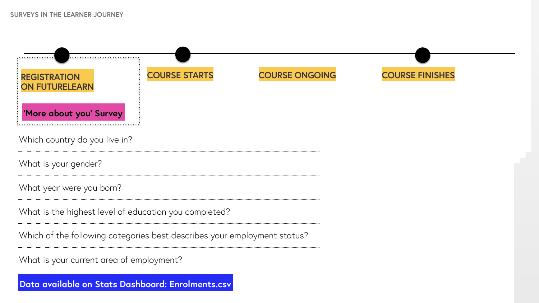Which country do you live in?

What is your gender?

What year were you born?

What is the highest level of education you completed?

**REGISTRATION ON FUTURELEARN 'More about you' Survey**

Which of the following categories best describes your employment status?

What is your current area of employment?

## **COURSE STARTS COURSE ONGOING COURSE FINISHES**



**Data available on Stats Dashboard: Enrolments.csv**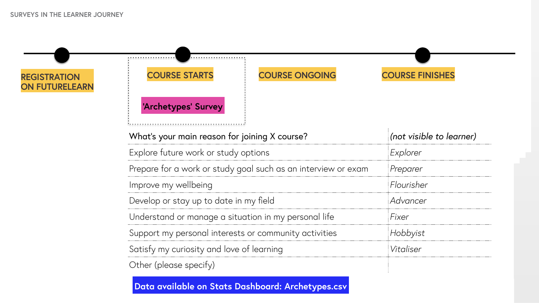



| ning X course?                 | (not visible to learner) |
|--------------------------------|--------------------------|
| tions                          | Explorer                 |
| I such as an interview or exam | Preparer                 |
|                                | Flourisher               |
| y field                        | Advancer                 |
| on in my personal life         | Fixer                    |
| r community activities         | Hobbyist                 |
| learning                       | Vitaliser                |
|                                |                          |

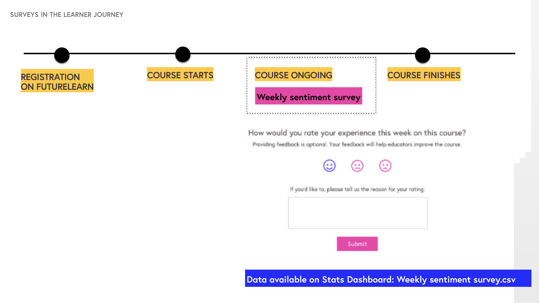



How would you rate your experience this week on this course? Providing feedback is optional. Your feedback will help educators improve the course.



If you'd like to, please tell us the reason for your rating:



Data available on Stats Dashboard: Weekly sentiment survey.csv

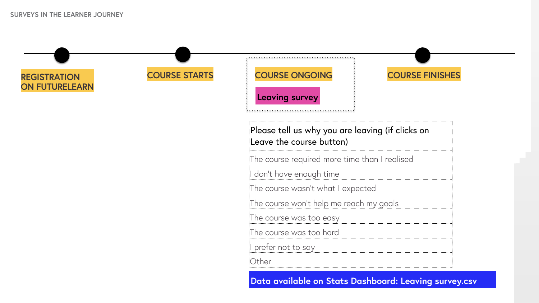

## **Leaving survey**

**Data available on Stats Dashboard: Leaving survey.csv**

| <b>COURSE ONGOING</b> |  |  |
|-----------------------|--|--|
|                       |  |  |

| Please tell us why you are leaving (if clicks on<br>Leave the course button) |
|------------------------------------------------------------------------------|
| The course required more time than I realised                                |
| I don't have enough time                                                     |
| The course wasn't what I expected                                            |
| The course won't help me reach my goals                                      |
| The course was too easy                                                      |
| The course was too hard                                                      |
| I prefer not to say                                                          |
| Other                                                                        |